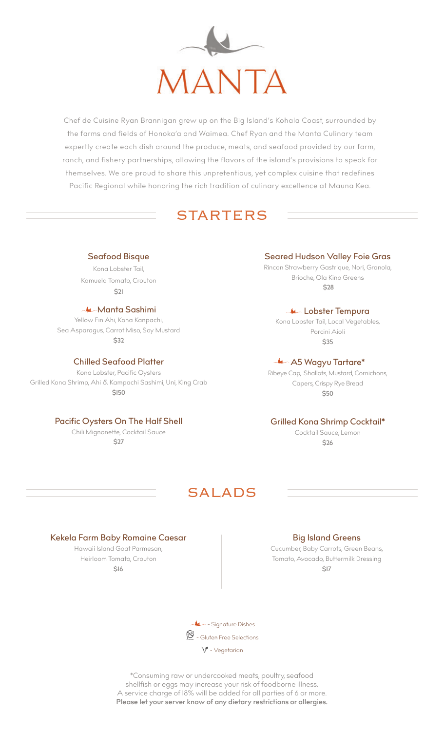

Chef de Cuisine Ryan Brannigan grew up on the Big Island's Kohala Coast, surrounded by the farms and fields of Honoka'a and Waimea. Chef Ryan and the Manta Culinary team expertly create each dish around the produce, meats, and seafood provided by our farm, ranch, and fishery partnerships, allowing the flavors of the island's provisions to speak for themselves. We are proud to share this unpretentious, yet complex cuisine that redefines Pacific Regional while honoring the rich tradition of culinary excellence at Mauna Kea.

# **STARTERS**

#### Seafood Bisque

Kona Lobster Tail, Kamuela Tomato, Crouton **\$21**

#### Manta Sashimi

Yellow Fin Ahi, Kona Kanpachi, Sea Asparagus, Carrot Miso, Soy Mustard **\$32**

#### Chilled Seafood Platter

Kona Lobster, Pacific Oysters Grilled Kona Shrimp, Ahi & Kampachi Sashimi, Uni, King Crab **\$150** 

## Pacific Oysters On The Half Shell

Chili Mignonette, Cocktail Sauce **\$27**

#### Seared Hudson Valley Foie Gras

Rincon Strawberry Gastrique, Nori, Granola, Brioche, Ola Kino Greens **\$28** 

#### **Lobster Tempura**

Kona Lobster Tail, Local Vegetables, Porcini Aioli **\$35** 

#### A5 Wagyu Tartare\*

Ribeye Cap, Shallots, Mustard, Cornichons, Capers, Crispy Rye Bread **\$50**

#### Grilled Kona Shrimp Cocktail\*

Cocktail Sauce, Lemon **\$26** 

# SALADS

#### Kekela Farm Baby Romaine Caesar

Hawaii Island Goat Parmesan, Heirloom Tomato, Crouton **\$16**

#### Big Island Greens

Cucumber, Baby Carrots, Green Beans, Tomato, Avocado, Buttermilk Dressing **\$17**

**4** - Signature Dishes Gluten Free Selections  $V$  - Vegetarian

\*Consuming raw or undercooked meats, poultry, seafood shellfish or eggs may increase your risk of foodborne illness. A service charge of 18% will be added for all parties of 6 or more. **Please let your server know of any dietary restrictions or allergies.**